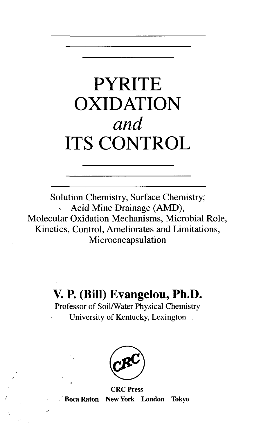# PYRITE OXIDATION *and* ITS CONTROL

Solution Chemistry, Surface Chemistry, Acid Mine Drainage (AMD), Molecular Oxidation Mechanisms, Microbial Role, Kinetics, Control, Ameliorates and Limitations, Microencapsulation

# **V. P. (Bill) Evangelou, Ph.D.**

Professor of Soil/Water Physical Chemistry University of Kentucky, Lexington



CRC Press Boca Raton New York London Tokyo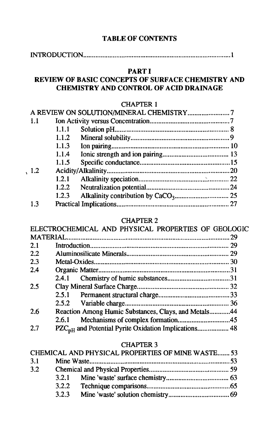# **TABLE OF CONTENTS**

INTRODUCTION 1

### **PARTI**

### **REVIEW OF BASIC CONCEPTS OF SURFACE CHEMISTRY AND CHEMISTRY AND CONTROL OF ACID DRAINAGE**

#### CHAPTER 1

| 1.1 |       |  |
|-----|-------|--|
|     | 1.1.1 |  |
|     | 1.1.2 |  |
|     | 1.1.3 |  |
|     | 1.1.4 |  |
|     | 1.1.5 |  |
| 1.2 |       |  |
|     | 1.2.1 |  |
|     | 1.2.2 |  |
|     | 1.2.3 |  |
| 1.3 |       |  |
|     |       |  |

#### CHAPTER 2

|     | UUMI ILIN 4                                          |     |
|-----|------------------------------------------------------|-----|
|     | ELECTROCHEMICAL AND PHYSICAL PROPERTIES OF GEOLOGIC  |     |
|     |                                                      | .29 |
| 2.1 |                                                      |     |
| 2.2 |                                                      |     |
| 2.3 |                                                      |     |
| 2.4 |                                                      |     |
|     |                                                      |     |
| 2.5 |                                                      |     |
|     |                                                      |     |
|     |                                                      |     |
| 2.6 | Reaction Among Humic Substances, Clays, and Metals44 |     |
|     |                                                      |     |
| 2.7 |                                                      |     |
|     |                                                      |     |

#### CHAPTER 3

|     |       | CHEMICAL AND PHYSICAL PROPERTIES OF MINE WASTE 53 |  |
|-----|-------|---------------------------------------------------|--|
| 3.1 |       |                                                   |  |
| 3.2 |       |                                                   |  |
|     |       |                                                   |  |
|     | 3.2.2 |                                                   |  |
|     | 3.2.3 |                                                   |  |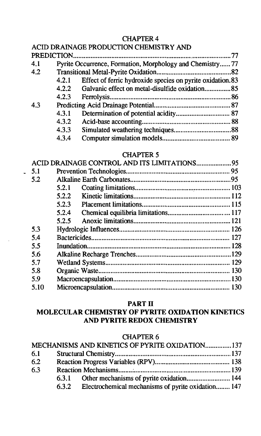# CHAPTER 4

# ACID DRAINAGE PRODUCTION CHEMISTRY AND

| 4.1 |       | Pyrite Occurrence, Formation, Morphology and Chemistry 77 |  |
|-----|-------|-----------------------------------------------------------|--|
| 4.2 |       |                                                           |  |
|     | 4.2.1 | Effect of ferric hydroxide species on pyrite oxidation.83 |  |
|     |       |                                                           |  |
|     | 4.2.3 |                                                           |  |
| 4.3 |       |                                                           |  |
|     | 4.3.1 |                                                           |  |
|     | 4.3.2 |                                                           |  |
|     | 4.3.3 |                                                           |  |
|     | 4.3.4 |                                                           |  |

#### CHAPTER 5

| ACID DRAINAGE CONTROL AND ITS LIMITATIONS 95 |       |  |
|----------------------------------------------|-------|--|
| 5.1                                          |       |  |
| 5.2                                          |       |  |
|                                              | 5.2.1 |  |
|                                              | 5.2.2 |  |
|                                              | 5.2.3 |  |
|                                              | 5.2.4 |  |
|                                              | 5.2.5 |  |
| 5.3                                          |       |  |
| 5.4                                          |       |  |
| 5.5                                          |       |  |
| 5.6                                          |       |  |
| 5.7                                          |       |  |
| 5.8                                          |       |  |
| 5.9                                          |       |  |
| 5.10                                         |       |  |
|                                              |       |  |

#### **PART**<sub>II</sub>

# **MOLECULAR CHEMISTRY OF PYRITE OXIDATION KINETICS AND PYRITE REDOX CHEMISTRY**

#### CHAPTER 6

|     | MECHANISMS AND KINETICS OF PYRITE OXIDATION137           |  |
|-----|----------------------------------------------------------|--|
| 6.1 |                                                          |  |
| 6.2 |                                                          |  |
| 6.3 |                                                          |  |
|     |                                                          |  |
|     | 6.3.2 Electrochemical mechanisms of pyrite oxidation 147 |  |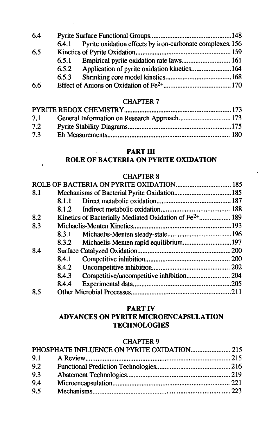| 6.5.3 |                                                                                   |
|-------|-----------------------------------------------------------------------------------|
|       |                                                                                   |
|       | 6.4.1 Pyrite oxidation effects by iron-carbonate complexes. 156<br>6.5.1<br>6.5.2 |

#### CHAPTER 7

| 7.2 |  |
|-----|--|
| 73  |  |
|     |  |

# **PART m**

# **ROLE OF BACTERIA ON PYRITE OXIDATION**

#### CHAPTER 8

| 8.1 |       |                                                                    |  |
|-----|-------|--------------------------------------------------------------------|--|
|     | 8.1.1 |                                                                    |  |
|     |       |                                                                    |  |
| 8.2 |       | Kinetics of Bacterially Mediated Oxidation of Fe <sup>2+</sup> 189 |  |
| 8.3 |       |                                                                    |  |
|     | 8.3.1 |                                                                    |  |
|     | 8.3.2 | Michaelis-Menten rapid equilibrium197                              |  |
| 8.4 |       |                                                                    |  |
|     | 8.4.1 |                                                                    |  |
|     | 8.4.2 |                                                                    |  |
|     | 8.4.3 |                                                                    |  |
|     | 8.4.4 |                                                                    |  |
| 8.5 |       |                                                                    |  |
|     |       |                                                                    |  |

#### **PART IV ADVANCES ON PYRITE MICROENCAPSULATION TECHNOLOGIES**

#### CHAPTER 9

| 9.2 |  |  |
|-----|--|--|
| 9.3 |  |  |
| 9.4 |  |  |
| 9.5 |  |  |